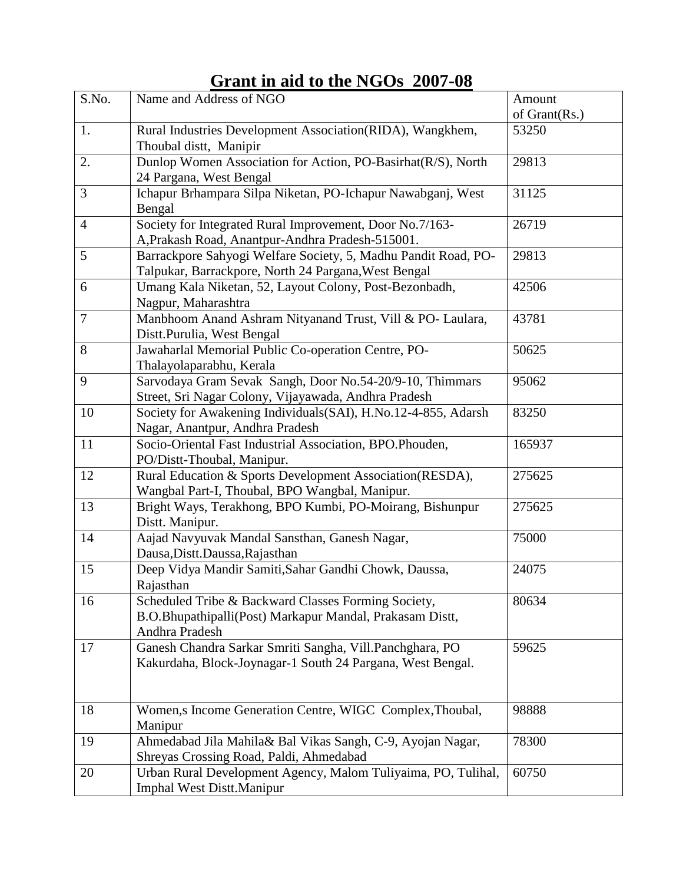| S.No.          | Name and Address of NGO                                                                                                           | Amount        |
|----------------|-----------------------------------------------------------------------------------------------------------------------------------|---------------|
|                |                                                                                                                                   | of Grant(Rs.) |
| 1.             | Rural Industries Development Association(RIDA), Wangkhem,<br>Thoubal distt, Manipir                                               | 53250         |
| 2.             | Dunlop Women Association for Action, PO-Basirhat(R/S), North<br>24 Pargana, West Bengal                                           | 29813         |
| 3              | Ichapur Brhampara Silpa Niketan, PO-Ichapur Nawabganj, West<br>Bengal                                                             | 31125         |
| $\overline{4}$ | Society for Integrated Rural Improvement, Door No.7/163-<br>A, Prakash Road, Anantpur-Andhra Pradesh-515001.                      | 26719         |
| 5              | Barrackpore Sahyogi Welfare Society, 5, Madhu Pandit Road, PO-<br>Talpukar, Barrackpore, North 24 Pargana, West Bengal            | 29813         |
| 6              | Umang Kala Niketan, 52, Layout Colony, Post-Bezonbadh,<br>Nagpur, Maharashtra                                                     | 42506         |
| $\overline{7}$ | Manbhoom Anand Ashram Nityanand Trust, Vill & PO- Laulara,<br>Distt.Purulia, West Bengal                                          | 43781         |
| 8              | Jawaharlal Memorial Public Co-operation Centre, PO-<br>Thalayolaparabhu, Kerala                                                   | 50625         |
| 9              | Sarvodaya Gram Sevak Sangh, Door No.54-20/9-10, Thimmars<br>Street, Sri Nagar Colony, Vijayawada, Andhra Pradesh                  | 95062         |
| 10             | Society for Awakening Individuals(SAI), H.No.12-4-855, Adarsh<br>Nagar, Anantpur, Andhra Pradesh                                  | 83250         |
| 11             | Socio-Oriental Fast Industrial Association, BPO.Phouden,<br>PO/Distt-Thoubal, Manipur.                                            | 165937        |
| 12             | Rural Education & Sports Development Association(RESDA),<br>Wangbal Part-I, Thoubal, BPO Wangbal, Manipur.                        | 275625        |
| 13             | Bright Ways, Terakhong, BPO Kumbi, PO-Moirang, Bishunpur<br>Distt. Manipur.                                                       | 275625        |
| 14             | Aajad Navyuvak Mandal Sansthan, Ganesh Nagar,<br>Dausa, Distt. Daussa, Rajasthan                                                  | 75000         |
| 15             | Deep Vidya Mandir Samiti, Sahar Gandhi Chowk, Daussa,<br>Rajasthan                                                                | 24075         |
| 16             | Scheduled Tribe & Backward Classes Forming Society,<br>B.O.Bhupathipalli(Post) Markapur Mandal, Prakasam Distt,<br>Andhra Pradesh | 80634         |
| 17             | Ganesh Chandra Sarkar Smriti Sangha, Vill.Panchghara, PO<br>Kakurdaha, Block-Joynagar-1 South 24 Pargana, West Bengal.            | 59625         |
| 18             | Women, s Income Generation Centre, WIGC Complex, Thoubal,<br>Manipur                                                              | 98888         |
| 19             | Ahmedabad Jila Mahila& Bal Vikas Sangh, C-9, Ayojan Nagar,<br>Shreyas Crossing Road, Paldi, Ahmedabad                             | 78300         |
| 20             | Urban Rural Development Agency, Malom Tuliyaima, PO, Tulihal,<br>Imphal West Distt.Manipur                                        | 60750         |

### **Grant in aid to the NGOs 2007-08**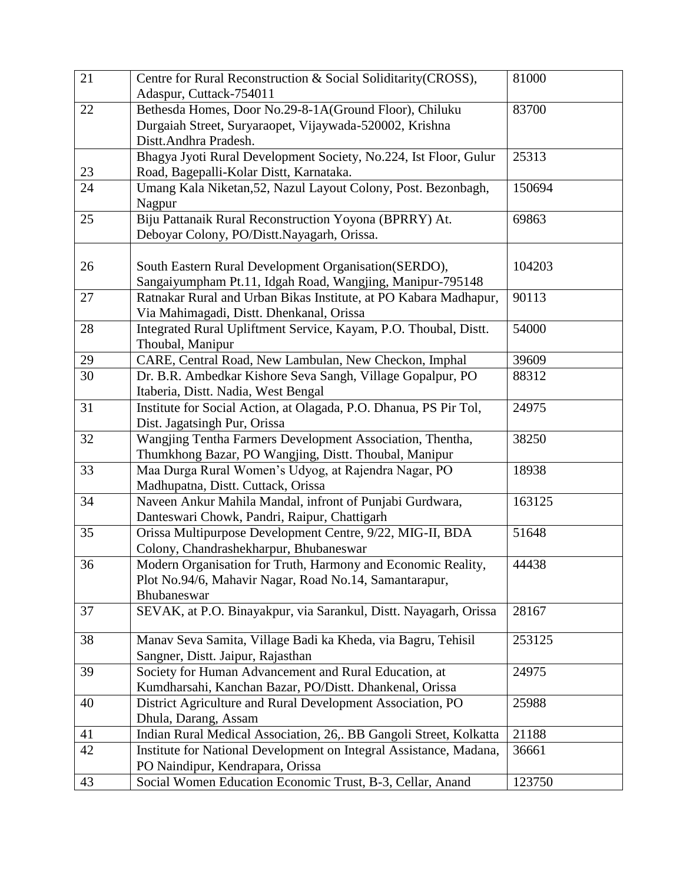| 21 | Centre for Rural Reconstruction & Social Soliditarity (CROSS),<br>Adaspur, Cuttack-754011                                                  | 81000  |
|----|--------------------------------------------------------------------------------------------------------------------------------------------|--------|
| 22 | Bethesda Homes, Door No.29-8-1A(Ground Floor), Chiluku<br>Durgaiah Street, Suryaraopet, Vijaywada-520002, Krishna<br>Distt.Andhra Pradesh. | 83700  |
| 23 | Bhagya Jyoti Rural Development Society, No.224, Ist Floor, Gulur<br>Road, Bagepalli-Kolar Distt, Karnataka.                                | 25313  |
| 24 | Umang Kala Niketan, 52, Nazul Layout Colony, Post. Bezonbagh,<br>Nagpur                                                                    | 150694 |
| 25 | Biju Pattanaik Rural Reconstruction Yoyona (BPRRY) At.<br>Deboyar Colony, PO/Distt.Nayagarh, Orissa.                                       | 69863  |
| 26 | South Eastern Rural Development Organisation (SERDO),<br>Sangaiyumpham Pt.11, Idgah Road, Wangjing, Manipur-795148                         | 104203 |
| 27 | Ratnakar Rural and Urban Bikas Institute, at PO Kabara Madhapur,<br>Via Mahimagadi, Distt. Dhenkanal, Orissa                               | 90113  |
| 28 | Integrated Rural Upliftment Service, Kayam, P.O. Thoubal, Distt.<br>Thoubal, Manipur                                                       | 54000  |
| 29 | CARE, Central Road, New Lambulan, New Checkon, Imphal                                                                                      | 39609  |
| 30 | Dr. B.R. Ambedkar Kishore Seva Sangh, Village Gopalpur, PO<br>Itaberia, Distt. Nadia, West Bengal                                          | 88312  |
| 31 | Institute for Social Action, at Olagada, P.O. Dhanua, PS Pir Tol,<br>Dist. Jagatsingh Pur, Orissa                                          | 24975  |
| 32 | Wangjing Tentha Farmers Development Association, Thentha,<br>Thumkhong Bazar, PO Wangjing, Distt. Thoubal, Manipur                         | 38250  |
| 33 | Maa Durga Rural Women's Udyog, at Rajendra Nagar, PO<br>Madhupatna, Distt. Cuttack, Orissa                                                 | 18938  |
| 34 | Naveen Ankur Mahila Mandal, infront of Punjabi Gurdwara,<br>Danteswari Chowk, Pandri, Raipur, Chattigarh                                   | 163125 |
| 35 | Orissa Multipurpose Development Centre, 9/22, MIG-II, BDA<br>Colony, Chandrashekharpur, Bhubaneswar                                        | 51648  |
| 36 | Modern Organisation for Truth, Harmony and Economic Reality,<br>Plot No.94/6, Mahavir Nagar, Road No.14, Samantarapur,<br>Bhubaneswar      | 44438  |
| 37 | SEVAK, at P.O. Binayakpur, via Sarankul, Distt. Nayagarh, Orissa                                                                           | 28167  |
| 38 | Manav Seva Samita, Village Badi ka Kheda, via Bagru, Tehisil<br>Sangner, Distt. Jaipur, Rajasthan                                          | 253125 |
| 39 | Society for Human Advancement and Rural Education, at<br>Kumdharsahi, Kanchan Bazar, PO/Distt. Dhankenal, Orissa                           | 24975  |
| 40 | District Agriculture and Rural Development Association, PO<br>Dhula, Darang, Assam                                                         | 25988  |
| 41 | Indian Rural Medical Association, 26,. BB Gangoli Street, Kolkatta                                                                         | 21188  |
| 42 | Institute for National Development on Integral Assistance, Madana,<br>PO Naindipur, Kendrapara, Orissa                                     | 36661  |
| 43 | Social Women Education Economic Trust, B-3, Cellar, Anand                                                                                  | 123750 |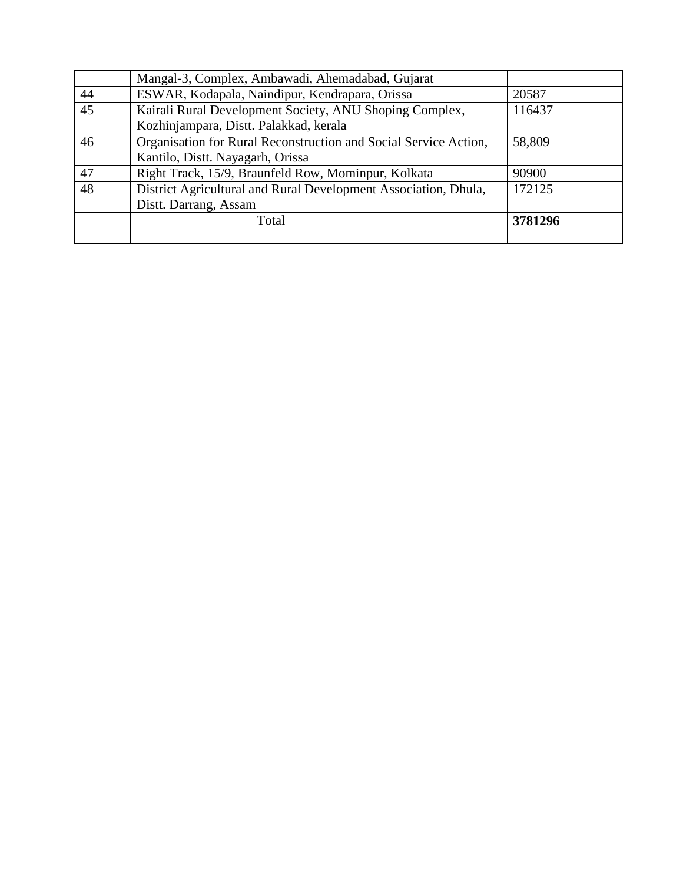|    | Mangal-3, Complex, Ambawadi, Ahemadabad, Gujarat                 |         |
|----|------------------------------------------------------------------|---------|
| 44 | ESWAR, Kodapala, Naindipur, Kendrapara, Orissa                   | 20587   |
| 45 | Kairali Rural Development Society, ANU Shoping Complex,          | 116437  |
|    | Kozhinjampara, Distt. Palakkad, kerala                           |         |
| 46 | Organisation for Rural Reconstruction and Social Service Action, | 58,809  |
|    | Kantilo, Distt. Nayagarh, Orissa                                 |         |
| 47 | Right Track, 15/9, Braunfeld Row, Mominpur, Kolkata              | 90900   |
| 48 | District Agricultural and Rural Development Association, Dhula,  | 172125  |
|    | Distt. Darrang, Assam                                            |         |
|    | Total                                                            | 3781296 |
|    |                                                                  |         |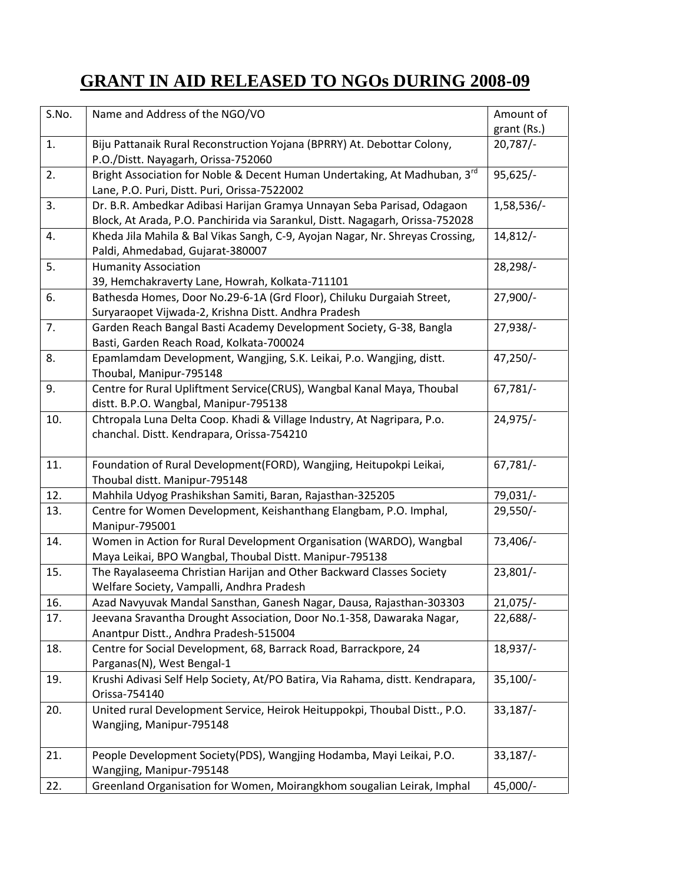# **GRANT IN AID RELEASED TO NGOs DURING 2008-09**

| S.No. | Name and Address of the NGO/VO                                                                                                                          | Amount of              |
|-------|---------------------------------------------------------------------------------------------------------------------------------------------------------|------------------------|
|       |                                                                                                                                                         | grant (Rs.)            |
| 1.    | Biju Pattanaik Rural Reconstruction Yojana (BPRRY) At. Debottar Colony,<br>P.O./Distt. Nayagarh, Orissa-752060                                          | $20,787/-$             |
| 2.    | Bright Association for Noble & Decent Human Undertaking, At Madhuban, 3rd<br>Lane, P.O. Puri, Distt. Puri, Orissa-7522002                               | $95,625/-$             |
| 3.    | Dr. B.R. Ambedkar Adibasi Harijan Gramya Unnayan Seba Parisad, Odagaon<br>Block, At Arada, P.O. Panchirida via Sarankul, Distt. Nagagarh, Orissa-752028 | 1,58,536/-             |
| 4.    | Kheda Jila Mahila & Bal Vikas Sangh, C-9, Ayojan Nagar, Nr. Shreyas Crossing,<br>Paldi, Ahmedabad, Gujarat-380007                                       | $14,812/-$             |
| 5.    | <b>Humanity Association</b>                                                                                                                             | 28,298/-               |
|       | 39, Hemchakraverty Lane, Howrah, Kolkata-711101                                                                                                         |                        |
| 6.    | Bathesda Homes, Door No.29-6-1A (Grd Floor), Chiluku Durgaiah Street,                                                                                   | $27,900/-$             |
|       | Suryaraopet Vijwada-2, Krishna Distt. Andhra Pradesh                                                                                                    |                        |
| 7.    | Garden Reach Bangal Basti Academy Development Society, G-38, Bangla<br>Basti, Garden Reach Road, Kolkata-700024                                         | $27,938/-$             |
| 8.    | Epamlamdam Development, Wangjing, S.K. Leikai, P.o. Wangjing, distt.<br>Thoubal, Manipur-795148                                                         | $47,250/-$             |
| 9.    | Centre for Rural Upliftment Service(CRUS), Wangbal Kanal Maya, Thoubal<br>distt. B.P.O. Wangbal, Manipur-795138                                         | $67,781/-$             |
| 10.   | Chtropala Luna Delta Coop. Khadi & Village Industry, At Nagripara, P.o.<br>chanchal. Distt. Kendrapara, Orissa-754210                                   | $24,975/-$             |
| 11.   | Foundation of Rural Development(FORD), Wangjing, Heitupokpi Leikai,<br>Thoubal distt. Manipur-795148                                                    | $67,781/-$             |
| 12.   | Mahhila Udyog Prashikshan Samiti, Baran, Rajasthan-325205                                                                                               | 79,031/-               |
| 13.   | Centre for Women Development, Keishanthang Elangbam, P.O. Imphal,<br>Manipur-795001                                                                     | 29,550/-               |
| 14.   | Women in Action for Rural Development Organisation (WARDO), Wangbal<br>Maya Leikai, BPO Wangbal, Thoubal Distt. Manipur-795138                          | 73,406/-               |
| 15.   | The Rayalaseema Christian Harijan and Other Backward Classes Society<br>Welfare Society, Vampalli, Andhra Pradesh                                       | $23,801/-$             |
| 16.   | Azad Navyuvak Mandal Sansthan, Ganesh Nagar, Dausa, Rajasthan-303303                                                                                    | $\overline{21,075}$ /- |
| 17.   | Jeevana Sravantha Drought Association, Door No.1-358, Dawaraka Nagar,<br>Anantpur Distt., Andhra Pradesh-515004                                         | $22,688/-$             |
| 18.   | Centre for Social Development, 68, Barrack Road, Barrackpore, 24<br>Parganas(N), West Bengal-1                                                          | $18,937/-$             |
| 19.   | Krushi Adivasi Self Help Society, At/PO Batira, Via Rahama, distt. Kendrapara,<br>Orissa-754140                                                         | $35,100/-$             |
| 20.   | United rural Development Service, Heirok Heituppokpi, Thoubal Distt., P.O.<br>Wangjing, Manipur-795148                                                  | $33,187/-$             |
| 21.   | People Development Society(PDS), Wangjing Hodamba, Mayi Leikai, P.O.<br>Wangjing, Manipur-795148                                                        | $33,187/-$             |
| 22.   | Greenland Organisation for Women, Moirangkhom sougalian Leirak, Imphal                                                                                  | $45,000/-$             |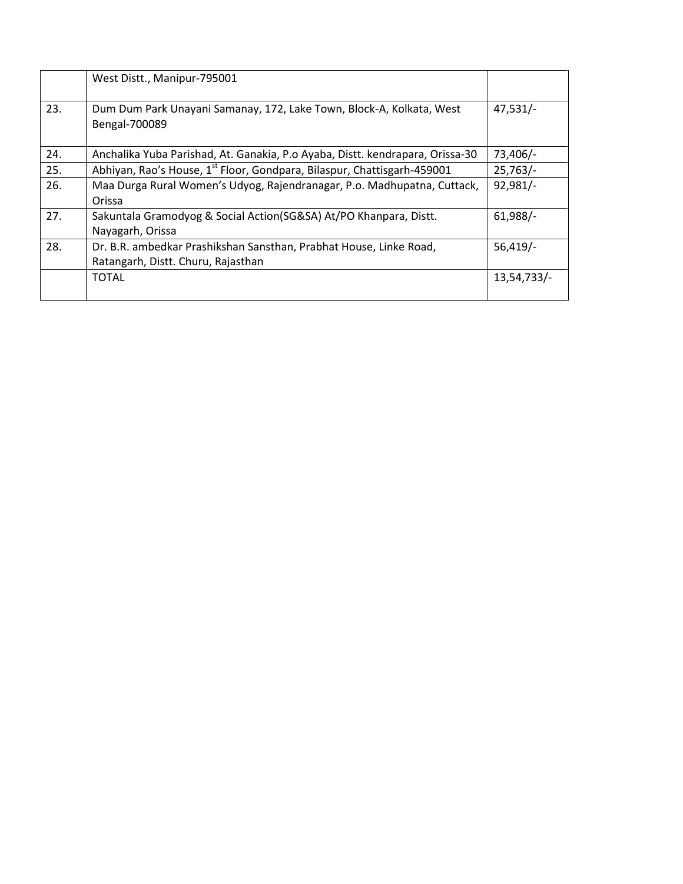|     | West Distt., Manipur-795001                                                           |             |
|-----|---------------------------------------------------------------------------------------|-------------|
| 23. | Dum Dum Park Unayani Samanay, 172, Lake Town, Block-A, Kolkata, West<br>Bengal-700089 | $47,531/-$  |
| 24. | Anchalika Yuba Parishad, At. Ganakia, P.o Ayaba, Distt. kendrapara, Orissa-30         | 73,406/-    |
| 25. | Abhiyan, Rao's House, 1 <sup>st</sup> Floor, Gondpara, Bilaspur, Chattisgarh-459001   | 25,763/     |
| 26. | Maa Durga Rural Women's Udyog, Rajendranagar, P.o. Madhupatna, Cuttack,               | 92,981/-    |
|     | Orissa                                                                                |             |
| 27. | Sakuntala Gramodyog & Social Action(SG&SA) At/PO Khanpara, Distt.                     | $61,988/-$  |
|     | Nayagarh, Orissa                                                                      |             |
| 28. | Dr. B.R. ambedkar Prashikshan Sansthan, Prabhat House, Linke Road,                    | $56,419/$ - |
|     | Ratangarh, Distt. Churu, Rajasthan                                                    |             |
|     | <b>TOTAL</b>                                                                          | 13,54,733/- |
|     |                                                                                       |             |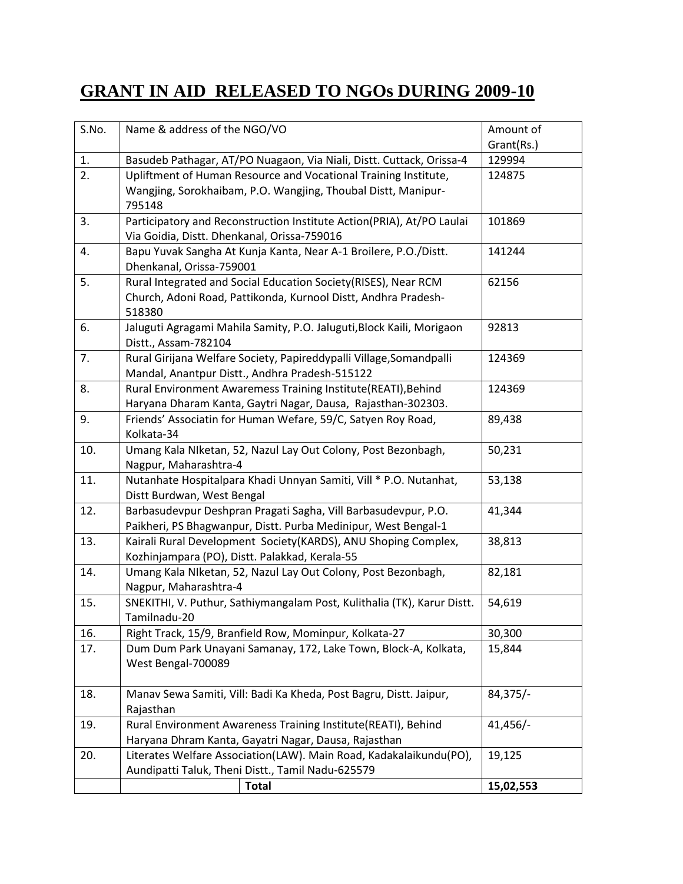## **GRANT IN AID RELEASED TO NGOs DURING 2009-10**

| S.No. | Name & address of the NGO/VO                                                                  | Amount of  |
|-------|-----------------------------------------------------------------------------------------------|------------|
|       |                                                                                               | Grant(Rs.) |
| 1.    | Basudeb Pathagar, AT/PO Nuagaon, Via Niali, Distt. Cuttack, Orissa-4                          | 129994     |
| 2.    | Upliftment of Human Resource and Vocational Training Institute,                               | 124875     |
|       | Wangjing, Sorokhaibam, P.O. Wangjing, Thoubal Distt, Manipur-                                 |            |
|       | 795148                                                                                        |            |
| 3.    | Participatory and Reconstruction Institute Action(PRIA), At/PO Laulai                         | 101869     |
|       | Via Goidia, Distt. Dhenkanal, Orissa-759016                                                   |            |
| 4.    | Bapu Yuvak Sangha At Kunja Kanta, Near A-1 Broilere, P.O./Distt.                              | 141244     |
|       | Dhenkanal, Orissa-759001                                                                      |            |
| 5.    | Rural Integrated and Social Education Society(RISES), Near RCM                                | 62156      |
|       | Church, Adoni Road, Pattikonda, Kurnool Distt, Andhra Pradesh-                                |            |
| 6.    | 518380                                                                                        |            |
|       | Jaluguti Agragami Mahila Samity, P.O. Jaluguti, Block Kaili, Morigaon<br>Distt., Assam-782104 | 92813      |
| 7.    | Rural Girijana Welfare Society, Papireddypalli Village, Somandpalli                           | 124369     |
|       | Mandal, Anantpur Distt., Andhra Pradesh-515122                                                |            |
| 8.    | Rural Environment Awaremess Training Institute(REATI), Behind                                 | 124369     |
|       | Haryana Dharam Kanta, Gaytri Nagar, Dausa, Rajasthan-302303.                                  |            |
| 9.    | Friends' Associatin for Human Wefare, 59/C, Satyen Roy Road,                                  | 89,438     |
|       | Kolkata-34                                                                                    |            |
| 10.   | Umang Kala Niketan, 52, Nazul Lay Out Colony, Post Bezonbagh,                                 | 50,231     |
|       | Nagpur, Maharashtra-4                                                                         |            |
| 11.   | Nutanhate Hospitalpara Khadi Unnyan Samiti, Vill * P.O. Nutanhat,                             | 53,138     |
|       | Distt Burdwan, West Bengal                                                                    |            |
| 12.   | Barbasudevpur Deshpran Pragati Sagha, Vill Barbasudevpur, P.O.                                | 41,344     |
|       | Paikheri, PS Bhagwanpur, Distt. Purba Medinipur, West Bengal-1                                |            |
| 13.   | Kairali Rural Development Society(KARDS), ANU Shoping Complex,                                | 38,813     |
|       | Kozhinjampara (PO), Distt. Palakkad, Kerala-55                                                |            |
| 14.   | Umang Kala Niketan, 52, Nazul Lay Out Colony, Post Bezonbagh,                                 | 82,181     |
|       | Nagpur, Maharashtra-4                                                                         |            |
| 15.   | SNEKITHI, V. Puthur, Sathiymangalam Post, Kulithalia (TK), Karur Distt.                       | 54,619     |
| 16.   | Tamilnadu-20<br>Right Track, 15/9, Branfield Row, Mominpur, Kolkata-27                        | 30,300     |
| 17.   | Dum Dum Park Unayani Samanay, 172, Lake Town, Block-A, Kolkata,                               | 15,844     |
|       | West Bengal-700089                                                                            |            |
|       |                                                                                               |            |
| 18.   | Manav Sewa Samiti, Vill: Badi Ka Kheda, Post Bagru, Distt. Jaipur,                            | $84,375/-$ |
|       | Rajasthan                                                                                     |            |
| 19.   | Rural Environment Awareness Training Institute(REATI), Behind                                 | 41,456/-   |
|       | Haryana Dhram Kanta, Gayatri Nagar, Dausa, Rajasthan                                          |            |
| 20.   | Literates Welfare Association(LAW). Main Road, Kadakalaikundu(PO),                            | 19,125     |
|       | Aundipatti Taluk, Theni Distt., Tamil Nadu-625579                                             |            |
|       | <b>Total</b>                                                                                  | 15,02,553  |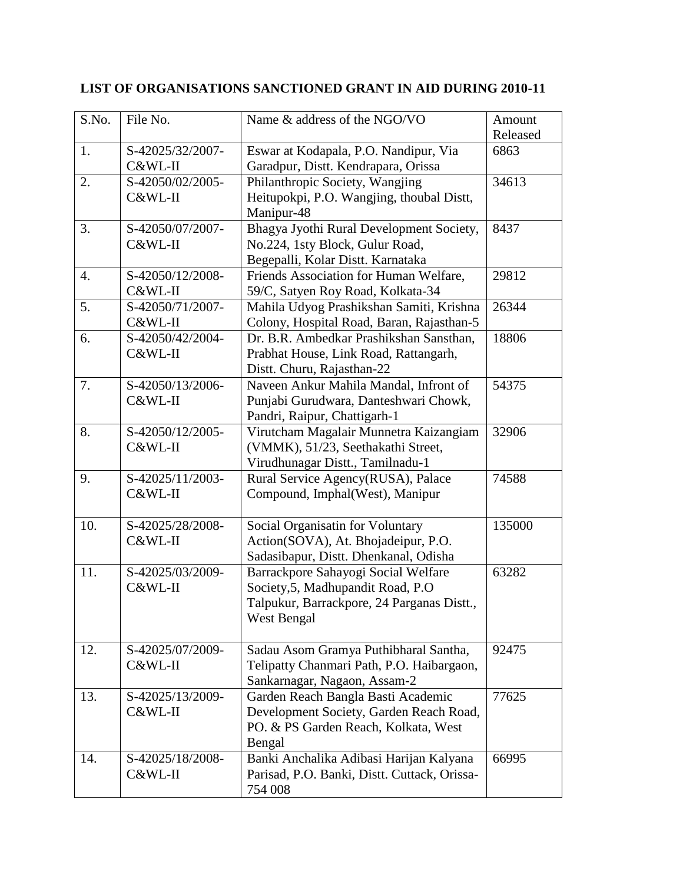| S.No. | File No.                    | Name & address of the NGO/VO                                                                                                                  | Amount<br>Released |
|-------|-----------------------------|-----------------------------------------------------------------------------------------------------------------------------------------------|--------------------|
| 1.    | S-42025/32/2007-<br>C&WL-II | Eswar at Kodapala, P.O. Nandipur, Via<br>Garadpur, Distt. Kendrapara, Orissa                                                                  | 6863               |
| 2.    | S-42050/02/2005-<br>C&WL-II | Philanthropic Society, Wangjing<br>Heitupokpi, P.O. Wangjing, thoubal Distt,<br>Manipur-48                                                    | 34613              |
| 3.    | S-42050/07/2007-<br>C&WL-II | Bhagya Jyothi Rural Development Society,<br>No.224, 1sty Block, Gulur Road,<br>Begepalli, Kolar Distt. Karnataka                              | 8437               |
| 4.    | S-42050/12/2008-<br>C&WL-II | Friends Association for Human Welfare,<br>59/C, Satyen Roy Road, Kolkata-34                                                                   | 29812              |
| 5.    | S-42050/71/2007-<br>C&WL-II | Mahila Udyog Prashikshan Samiti, Krishna<br>Colony, Hospital Road, Baran, Rajasthan-5                                                         | 26344              |
| 6.    | S-42050/42/2004-<br>C&WL-II | Dr. B.R. Ambedkar Prashikshan Sansthan,<br>Prabhat House, Link Road, Rattangarh,<br>Distt. Churu, Rajasthan-22                                | 18806              |
| 7.    | S-42050/13/2006-<br>C&WL-II | Naveen Ankur Mahila Mandal, Infront of<br>Punjabi Gurudwara, Danteshwari Chowk,<br>Pandri, Raipur, Chattigarh-1                               | 54375              |
| 8.    | S-42050/12/2005-<br>C&WL-II | Virutcham Magalair Munnetra Kaizangiam<br>(VMMK), 51/23, Seethakathi Street,<br>Virudhunagar Distt., Tamilnadu-1                              | 32906              |
| 9.    | S-42025/11/2003-<br>C&WL-II | Rural Service Agency(RUSA), Palace<br>Compound, Imphal(West), Manipur                                                                         | 74588              |
| 10.   | S-42025/28/2008-<br>C&WL-II | Social Organisatin for Voluntary<br>Action(SOVA), At. Bhojadeipur, P.O.<br>Sadasibapur, Distt. Dhenkanal, Odisha                              | 135000             |
| 11.   | S-42025/03/2009-<br>C&WL-II | Barrackpore Sahayogi Social Welfare<br>Society, 5, Madhupandit Road, P.O.<br>Talpukur, Barrackpore, 24 Parganas Distt.,<br><b>West Bengal</b> | 63282              |
| 12.   | S-42025/07/2009-<br>C&WL-II | Sadau Asom Gramya Puthibharal Santha,<br>Telipatty Chanmari Path, P.O. Haibargaon,<br>Sankarnagar, Nagaon, Assam-2                            | 92475              |
| 13.   | S-42025/13/2009-<br>C&WL-II | Garden Reach Bangla Basti Academic<br>Development Society, Garden Reach Road,<br>PO. & PS Garden Reach, Kolkata, West<br>Bengal               | 77625              |
| 14.   | S-42025/18/2008-<br>C&WL-II | Banki Anchalika Adibasi Harijan Kalyana<br>Parisad, P.O. Banki, Distt. Cuttack, Orissa-<br>754 008                                            | 66995              |

#### **LIST OF ORGANISATIONS SANCTIONED GRANT IN AID DURING 2010-11**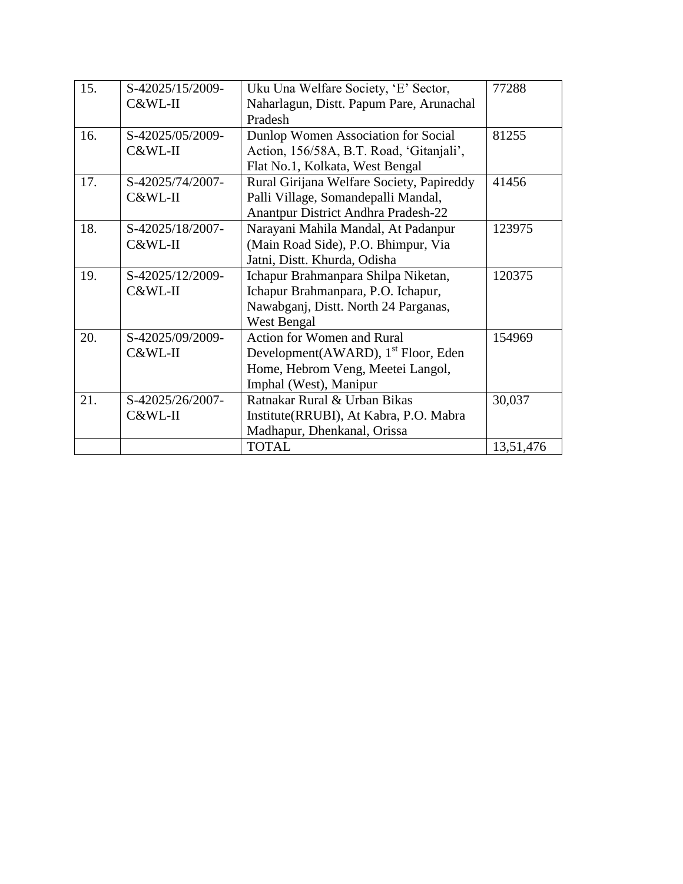| 15. | S-42025/15/2009- | Uku Una Welfare Society, 'E' Sector,            | 77288     |
|-----|------------------|-------------------------------------------------|-----------|
|     | C&WL-II          | Naharlagun, Distt. Papum Pare, Arunachal        |           |
|     |                  | Pradesh                                         |           |
| 16. | S-42025/05/2009- | Dunlop Women Association for Social             | 81255     |
|     | C&WL-II          | Action, 156/58A, B.T. Road, 'Gitanjali',        |           |
|     |                  | Flat No.1, Kolkata, West Bengal                 |           |
| 17. | S-42025/74/2007- | Rural Girijana Welfare Society, Papireddy       | 41456     |
|     | C&WL-II          | Palli Village, Somandepalli Mandal,             |           |
|     |                  | <b>Anantpur District Andhra Pradesh-22</b>      |           |
| 18. | S-42025/18/2007- | Narayani Mahila Mandal, At Padanpur             | 123975    |
|     | C&WL-II          | (Main Road Side), P.O. Bhimpur, Via             |           |
|     |                  | Jatni, Distt. Khurda, Odisha                    |           |
| 19. | S-42025/12/2009- | Ichapur Brahmanpara Shilpa Niketan,             | 120375    |
|     | C&WL-II          | Ichapur Brahmanpara, P.O. Ichapur,              |           |
|     |                  | Nawabganj, Distt. North 24 Parganas,            |           |
|     |                  | <b>West Bengal</b>                              |           |
| 20. | S-42025/09/2009- | <b>Action for Women and Rural</b>               | 154969    |
|     | C&WL-II          | Development(AWARD), 1 <sup>st</sup> Floor, Eden |           |
|     |                  | Home, Hebrom Veng, Meetei Langol,               |           |
|     |                  | Imphal (West), Manipur                          |           |
| 21. | S-42025/26/2007- | Ratnakar Rural & Urban Bikas                    | 30,037    |
|     | C&WL-II          | Institute(RRUBI), At Kabra, P.O. Mabra          |           |
|     |                  | Madhapur, Dhenkanal, Orissa                     |           |
|     |                  | <b>TOTAL</b>                                    | 13,51,476 |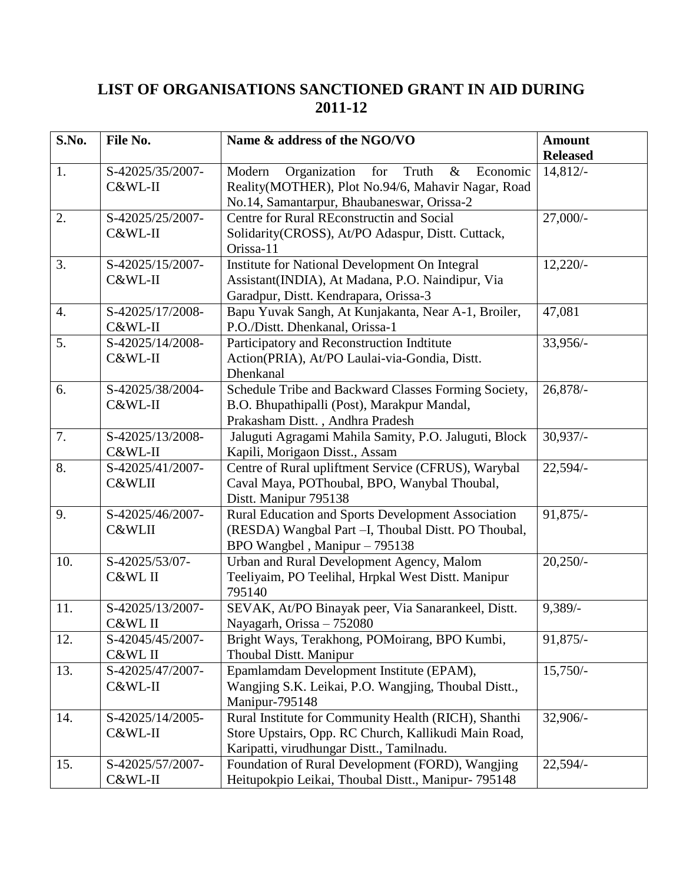#### **LIST OF ORGANISATIONS SANCTIONED GRANT IN AID DURING 2011-12**

| S.No.            | File No.                    | Name & address of the NGO/VO                                                                                                                                   | <b>Amount</b><br><b>Released</b> |
|------------------|-----------------------------|----------------------------------------------------------------------------------------------------------------------------------------------------------------|----------------------------------|
| 1.               | S-42025/35/2007-<br>C&WL-II | Organization<br>for<br>Truth<br>$\&$<br>Modern<br>Economic<br>Reality(MOTHER), Plot No.94/6, Mahavir Nagar, Road<br>No.14, Samantarpur, Bhaubaneswar, Orissa-2 | 14,812/                          |
| 2.               | S-42025/25/2007-<br>C&WL-II | Centre for Rural REconstructin and Social<br>Solidarity(CROSS), At/PO Adaspur, Distt. Cuttack,<br>Orissa-11                                                    | $27,000/-$                       |
| 3.               | S-42025/15/2007-<br>C&WL-II | Institute for National Development On Integral<br>Assistant(INDIA), At Madana, P.O. Naindipur, Via<br>Garadpur, Distt. Kendrapara, Orissa-3                    | $12,220/-$                       |
| $\overline{4}$ . | S-42025/17/2008-<br>C&WL-II | Bapu Yuvak Sangh, At Kunjakanta, Near A-1, Broiler,<br>P.O./Distt. Dhenkanal, Orissa-1                                                                         | 47,081                           |
| 5.               | S-42025/14/2008-<br>C&WL-II | Participatory and Reconstruction Indtitute<br>Action(PRIA), At/PO Laulai-via-Gondia, Distt.<br>Dhenkanal                                                       | 33,956/-                         |
| 6.               | S-42025/38/2004-<br>C&WL-II | Schedule Tribe and Backward Classes Forming Society,<br>B.O. Bhupathipalli (Post), Marakpur Mandal,<br>Prakasham Distt., Andhra Pradesh                        | 26,878/-                         |
| 7.               | S-42025/13/2008-<br>C&WL-II | Jaluguti Agragami Mahila Samity, P.O. Jaluguti, Block<br>Kapili, Morigaon Disst., Assam                                                                        | $30,937/-$                       |
| 8.               | S-42025/41/2007-<br>C&WLII  | Centre of Rural upliftment Service (CFRUS), Warybal<br>Caval Maya, POThoubal, BPO, Wanybal Thoubal,<br>Distt. Manipur 795138                                   | $22,594/-$                       |
| 9.               | S-42025/46/2007-<br>C&WLII  | Rural Education and Sports Development Association<br>(RESDA) Wangbal Part -I, Thoubal Distt. PO Thoubal,<br>BPO Wangbel, Manipur - 795138                     | 91,875/-                         |
| 10.              | S-42025/53/07-<br>C&WL II   | Urban and Rural Development Agency, Malom<br>Teeliyaim, PO Teelihal, Hrpkal West Distt. Manipur<br>795140                                                      | $20,250/-$                       |
| 11.              | S-42025/13/2007-<br>C&WL II | SEVAK, At/PO Binayak peer, Via Sanarankeel, Distt.<br>Nayagarh, Orissa - 752080                                                                                | $9,389/$ -                       |
| 12.              | S-42045/45/2007-<br>C&WL II | Bright Ways, Terakhong, POMoirang, BPO Kumbi,<br>Thoubal Distt. Manipur                                                                                        | $91,875/-$                       |
| 13.              | S-42025/47/2007-<br>C&WL-II | Epamlamdam Development Institute (EPAM),<br>Wangjing S.K. Leikai, P.O. Wangjing, Thoubal Distt.,<br>Manipur-795148                                             | $15,750/-$                       |
| 14.              | S-42025/14/2005-<br>C&WL-II | Rural Institute for Community Health (RICH), Shanthi<br>Store Upstairs, Opp. RC Church, Kallikudi Main Road,<br>Karipatti, virudhungar Distt., Tamilnadu.      | $32,906/$ -                      |
| 15.              | S-42025/57/2007-<br>C&WL-II | Foundation of Rural Development (FORD), Wangjing<br>Heitupokpio Leikai, Thoubal Distt., Manipur- 795148                                                        | $22,594/-$                       |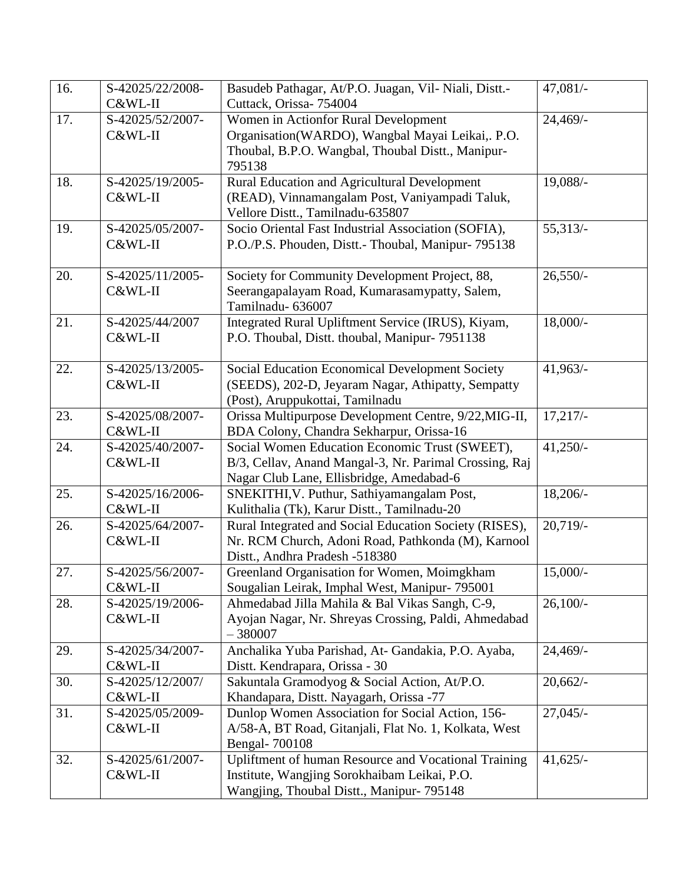| 16. | S-42025/22/2008- | Basudeb Pathagar, At/P.O. Juagan, Vil- Niali, Distt.-                                                 | $47,081/-$  |
|-----|------------------|-------------------------------------------------------------------------------------------------------|-------------|
|     | C&WL-II          | Cuttack, Orissa- 754004                                                                               |             |
| 17. | S-42025/52/2007- | Women in Actionfor Rural Development                                                                  | 24,469/-    |
|     | C&WL-II          | Organisation(WARDO), Wangbal Mayai Leikai,. P.O.                                                      |             |
|     |                  | Thoubal, B.P.O. Wangbal, Thoubal Distt., Manipur-                                                     |             |
|     |                  | 795138                                                                                                |             |
| 18. | S-42025/19/2005- | Rural Education and Agricultural Development                                                          | 19,088/-    |
|     | C&WL-II          | (READ), Vinnamangalam Post, Vaniyampadi Taluk,                                                        |             |
|     |                  | Vellore Distt., Tamilnadu-635807                                                                      |             |
| 19. | S-42025/05/2007- | Socio Oriental Fast Industrial Association (SOFIA),                                                   | 55,313/     |
|     | C&WL-II          | P.O./P.S. Phouden, Distt.- Thoubal, Manipur- 795138                                                   |             |
|     |                  |                                                                                                       |             |
| 20. | S-42025/11/2005- | Society for Community Development Project, 88,                                                        | $26,550/-$  |
|     | C&WL-II          | Seerangapalayam Road, Kumarasamypatty, Salem,                                                         |             |
|     |                  | Tamilnadu- 636007                                                                                     |             |
| 21. | S-42025/44/2007  | Integrated Rural Upliftment Service (IRUS), Kiyam,                                                    | $18,000/-$  |
|     | C&WL-II          | P.O. Thoubal, Distt. thoubal, Manipur- 7951138                                                        |             |
|     |                  |                                                                                                       |             |
| 22. | S-42025/13/2005- | <b>Social Education Economical Development Society</b>                                                | $41,963/$ - |
|     | C&WL-II          | (SEEDS), 202-D, Jeyaram Nagar, Athipatty, Sempatty                                                    |             |
|     |                  | (Post), Aruppukottai, Tamilnadu                                                                       |             |
| 23. | S-42025/08/2007- | Orissa Multipurpose Development Centre, 9/22, MIG-II,                                                 | 17,217/     |
|     | C&WL-II          | BDA Colony, Chandra Sekharpur, Orissa-16                                                              |             |
| 24. | S-42025/40/2007- | Social Women Education Economic Trust (SWEET),                                                        | $41,250/-$  |
|     | C&WL-II          | B/3, Cellav, Anand Mangal-3, Nr. Parimal Crossing, Raj                                                |             |
| 25. | S-42025/16/2006- | Nagar Club Lane, Ellisbridge, Amedabad-6                                                              |             |
|     | C&WL-II          | SNEKITHI, V. Puthur, Sathiyamangalam Post,                                                            | $18,206/-$  |
| 26. | S-42025/64/2007- | Kulithalia (Tk), Karur Distt., Tamilnadu-20<br>Rural Integrated and Social Education Society (RISES), | $20,719/$ - |
|     | C&WL-II          | Nr. RCM Church, Adoni Road, Pathkonda (M), Karnool                                                    |             |
|     |                  | Distt., Andhra Pradesh -518380                                                                        |             |
| 27. | S-42025/56/2007- | Greenland Organisation for Women, Moimgkham                                                           | $15,000/-$  |
|     | C&WL-II          | Sougalian Leirak, Imphal West, Manipur- 795001                                                        |             |
| 28. | S-42025/19/2006- | Ahmedabad Jilla Mahila & Bal Vikas Sangh, C-9,                                                        | $26,100/$ - |
|     | C&WL-II          | Ayojan Nagar, Nr. Shreyas Crossing, Paldi, Ahmedabad                                                  |             |
|     |                  | $-380007$                                                                                             |             |
| 29. | S-42025/34/2007- | Anchalika Yuba Parishad, At- Gandakia, P.O. Ayaba,                                                    | $24,469/$ - |
|     | C&WL-II          | Distt. Kendrapara, Orissa - 30                                                                        |             |
| 30. | S-42025/12/2007/ | Sakuntala Gramodyog & Social Action, At/P.O.                                                          | 20,662/     |
|     | C&WL-II          | Khandapara, Distt. Nayagarh, Orissa -77                                                               |             |
| 31. | S-42025/05/2009- | Dunlop Women Association for Social Action, 156-                                                      | $27,045/-$  |
|     | C&WL-II          | A/58-A, BT Road, Gitanjali, Flat No. 1, Kolkata, West                                                 |             |
|     |                  | Bengal-700108                                                                                         |             |
| 32. | S-42025/61/2007- | Upliftment of human Resource and Vocational Training                                                  | $41,625/-$  |
|     | C&WL-II          | Institute, Wangjing Sorokhaibam Leikai, P.O.                                                          |             |
|     |                  | Wangjing, Thoubal Distt., Manipur- 795148                                                             |             |